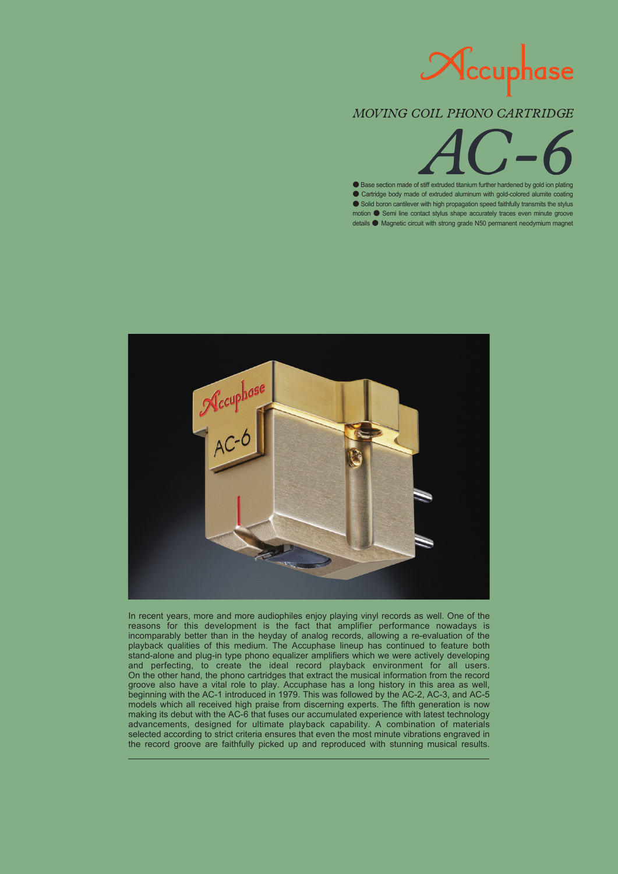

## MOVING COIL PHONO CARTRIDGE

● Base section made of stiff extruded titanium further hardened by gold ion plating ● Cartridge body made of extruded aluminum with gold-colored alumite coating ● Solid boron cantilever with high propagation speed faithfully transmits the stylus motion ● Semi line contact stylus shape accurately traces even minute groove details ● Magnetic circuit with strong grade N50 permanent neodymium magnet



In recent years, more and more audiophiles enjoy playing vinyl records as well. One of the reasons for this development is the fact that amplifier performance nowadays is incomparably better than in the heyday of analog records, allowing a re-evaluation of the playback qualities of this medium. The Accuphase lineup has continued to feature both stand-alone and plug-in type phono equalizer amplifiers which we were actively developing and perfecting, to create the ideal record playback environment for all users. On the other hand, the phono cartridges that extract the musical information from the record groove also have a vital role to play. Accuphase has a long history in this area as well, beginning with the AC-1 introduced in 1979. This was followed by the AC-2, AC-3, and AC-5 models which all received high praise from discerning experts. The fifth generation is now making its debut with the AC-6 that fuses our accumulated experience with latest technology advancements, designed for ultimate playback capability. A combination of materials selected according to strict criteria ensures that even the most minute vibrations engraved in the record groove are faithfully picked up and reproduced with stunning musical results.